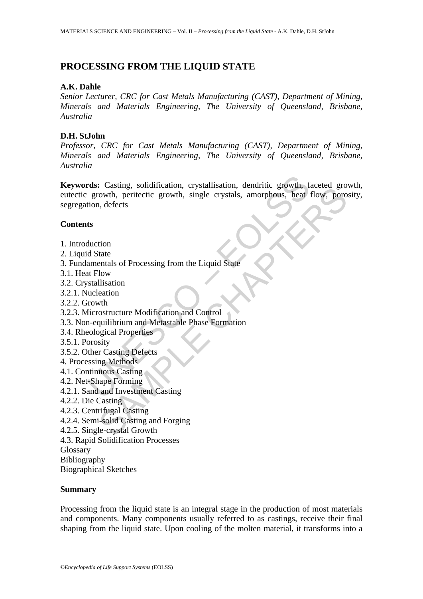# **PROCESSING FROM THE LIQUID STATE**

## **A.K. Dahle**

*Senior Lecturer, CRC for Cast Metals Manufacturing (CAST), Department of Mining, Minerals and Materials Engineering, The University of Queensland, Brisbane, Australia* 

## **D.H. StJohn**

*Professor, CRC for Cast Metals Manufacturing (CAST), Department of Mining, Minerals and Materials Engineering, The University of Queensland, Brisbane, Australia* 

rds: Casting, solidification, crystallisation, dendritic growth, figrowth, peritectic growth, single crystals, amorphous, heat<br>tion, defects<br>ts<br>ts<br>ts<br>duction<br>d State<br>amentals of Processing from the Liquid State<br>amentals of Cassing, solutional, crystalisation, cellular and plowing the crystals, and flow, portion, the districtive proposition, included state and the case of Processing from the Liquid State I, defects<br>that the distribution and C **Keywords:** Casting, solidification, crystallisation, dendritic growth, faceted growth, eutectic growth, peritectic growth, single crystals, amorphous, heat flow, porosity, segregation, defects

## **Contents**

- 1. Introduction
- 2. Liquid State
- 3. Fundamentals of Processing from the Liquid State
- 3.1. Heat Flow
- 3.2. Crystallisation
- 3.2.1. Nucleation
- 3.2.2. Growth
- 3.2.3. Microstructure Modification and Control
- 3.3. Non-equilibrium and Metastable Phase Formation
- 3.4. Rheological Properties
- 3.5.1. Porosity
- 3.5.2. Other Casting Defects
- 4. Processing Methods
- 4.1. Continuous Casting
- 4.2. Net-Shape Forming
- 4.2.1. Sand and Investment Casting
- 4.2.2. Die Casting
- 4.2.3. Centrifugal Casting
- 4.2.4. Semi-solid Casting and Forging
- 4.2.5. Single-crystal Growth
- 4.3. Rapid Solidification Processes
- Glossary
- Bibliography

Biographical Sketches

#### **Summary**

Processing from the liquid state is an integral stage in the production of most materials and components. Many components usually referred to as castings, receive their final shaping from the liquid state. Upon cooling of the molten material, it transforms into a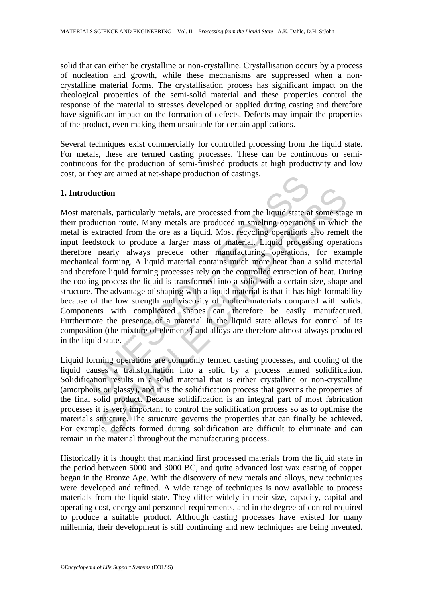solid that can either be crystalline or non-crystalline. Crystallisation occurs by a process of nucleation and growth, while these mechanisms are suppressed when a noncrystalline material forms. The crystallisation process has significant impact on the rheological properties of the semi-solid material and these properties control the response of the material to stresses developed or applied during casting and therefore have significant impact on the formation of defects. Defects may impair the properties of the product, even making them unsuitable for certain applications.

Several techniques exist commercially for controlled processing from the liquid state. For metals, these are termed casting processes. These can be continuous or semicontinuous for the production of semi-finished products at high productivity and low cost, or they are aimed at net-shape production of castings.

## **1. Introduction**

duction<br>derials, particularly metals, are processed from the liquid state a<br>doduction route. Many metals are produced in smelling operation<br>sextacted from the ore as a liquid. Most recycling operations<br>eedstock to produce ction<br>etion<br>etion<br>crials, particularly metals, are processed from the liquid state at some stag<br>etcion route. Many metals are produced in smelting operations in which<br>tracted from the ore as a liquid. Most recycling operat Most materials, particularly metals, are processed from the liquid state at some stage in their production route. Many metals are produced in smelting operations in which the metal is extracted from the ore as a liquid. Most recycling operations also remelt the input feedstock to produce a larger mass of material. Liquid processing operations therefore nearly always precede other manufacturing operations, for example mechanical forming. A liquid material contains much more heat than a solid material and therefore liquid forming processes rely on the controlled extraction of heat. During the cooling process the liquid is transformed into a solid with a certain size, shape and structure. The advantage of shaping with a liquid material is that it has high formability because of the low strength and viscosity of molten materials compared with solids. Components with complicated shapes can therefore be easily manufactured. Furthermore the presence of a material in the liquid state allows for control of its composition (the mixture of elements) and alloys are therefore almost always produced in the liquid state.

Liquid forming operations are commonly termed casting processes, and cooling of the liquid causes a transformation into a solid by a process termed solidification. Solidification results in a solid material that is either crystalline or non-crystalline (amorphous or glassy), and it is the solidification process that governs the properties of the final solid product. Because solidification is an integral part of most fabrication processes it is very important to control the solidification process so as to optimise the material's structure. The structure governs the properties that can finally be achieved. For example, defects formed during solidification are difficult to eliminate and can remain in the material throughout the manufacturing process.

Historically it is thought that mankind first processed materials from the liquid state in the period between 5000 and 3000 BC, and quite advanced lost wax casting of copper began in the Bronze Age. With the discovery of new metals and alloys, new techniques were developed and refined. A wide range of techniques is now available to process materials from the liquid state. They differ widely in their size, capacity, capital and operating cost, energy and personnel requirements, and in the degree of control required to produce a suitable product. Although casting processes have existed for many millennia, their development is still continuing and new techniques are being invented.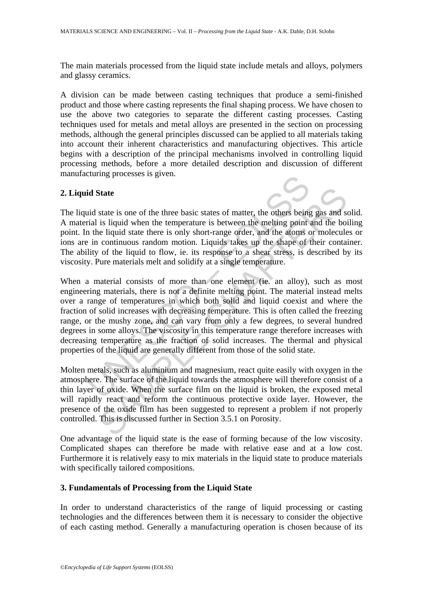The main materials processed from the liquid state include metals and alloys, polymers and glassy ceramics.

A division can be made between casting techniques that produce a semi-finished product and those where casting represents the final shaping process. We have chosen to use the above two categories to separate the different casting processes. Casting techniques used for metals and metal alloys are presented in the section on processing methods, although the general principles discussed can be applied to all materials taking into account their inherent characteristics and manufacturing objectives. This article begins with a description of the principal mechanisms involved in controlling liquid processing methods, before a more detailed description and discussion of different manufacturing processes is given.

## **2. Liquid State**

The liquid state is one of the three basic states of matter, the others being gas and solid. A material is liquid when the temperature is between the melting point and the boiling point. In the liquid state there is only short-range order, and the atoms or molecules or ions are in continuous random motion. Liquids takes up the shape of their container. The ability of the liquid to flow, ie. its response to a shear stress, is described by its viscosity. Pure materials melt and solidify at a single temperature.

id State<br>id atte is one of the three basic states of matter, the others being<br>id state is inquid when the temperature is between the melting point in<br>the liquid state three is only short-range order, and the atoms of<br>in co State<br>state is one of the three basic states of matter, the others being gas and s<br>is liquid when the temperature is between the melting point and the boi<br>e liquid state there is only short-range order, and the atoms or mo When a material consists of more than one element (ie. an alloy), such as most engineering materials, there is not a definite melting point. The material instead melts over a range of temperatures in which both solid and liquid coexist and where the fraction of solid increases with decreasing temperature. This is often called the freezing range, or the mushy zone, and can vary from only a few degrees, to several hundred degrees in some alloys. The viscosity in this temperature range therefore increases with decreasing temperature as the fraction of solid increases. The thermal and physical properties of the liquid are generally different from those of the solid state.

Molten metals, such as aluminium and magnesium, react quite easily with oxygen in the atmosphere. The surface of the liquid towards the atmosphere will therefore consist of a thin layer of oxide. When the surface film on the liquid is broken, the exposed metal will rapidly react and reform the continuous protective oxide layer. However, the presence of the oxide film has been suggested to represent a problem if not properly controlled. This is discussed further in Section 3.5.1 on Porosity.

One advantage of the liquid state is the ease of forming because of the low viscosity. Complicated shapes can therefore be made with relative ease and at a low cost. Furthermore it is relatively easy to mix materials in the liquid state to produce materials with specifically tailored compositions.

## **3. Fundamentals of Processing from the Liquid State**

In order to understand characteristics of the range of liquid processing or casting technologies and the differences between them it is necessary to consider the objective of each casting method. Generally a manufacturing operation is chosen because of its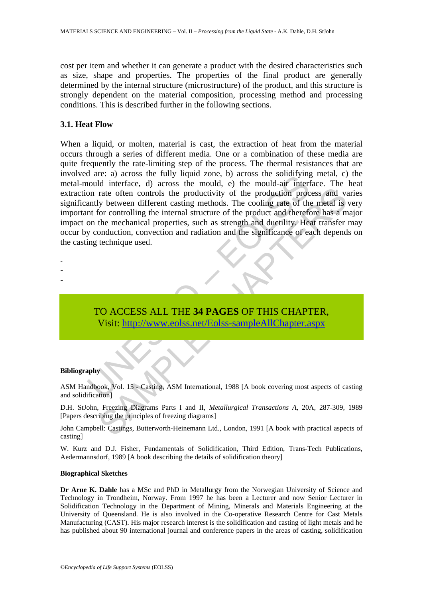cost per item and whether it can generate a product with the desired characteristics such as size, shape and properties. The properties of the final product are generally determined by the internal structure (microstructure) of the product, and this structure is strongly dependent on the material composition, processing method and processing conditions. This is described further in the following sections.

## **3.1. Heat Flow**

are. a) actoss the muly inquia zone. y) actoss the mould, e) the mould-air interferee, d) across the mould, e) the mould-air interferon rate often controls the productivity of the production process and the methanical prop The offern controls the productivity of the production process and variate offern controls the productivity of the production process and variate offerne different casting methods. The cooling rate of the metal is for cont When a liquid, or molten, material is cast, the extraction of heat from the material occurs through a series of different media. One or a combination of these media are quite frequently the rate-limiting step of the process. The thermal resistances that are involved are: a) across the fully liquid zone, b) across the solidifying metal, c) the metal-mould interface, d) across the mould, e) the mould-air interface. The heat extraction rate often controls the productivity of the production process and varies significantly between different casting methods. The cooling rate of the metal is very important for controlling the internal structure of the product and therefore has a major impact on the mechanical properties, such as strength and ductility. Heat transfer may occur by conduction, convection and radiation and the significance of each depends on the casting technique used.

- -
- -
- -

TO ACCESS ALL THE **34 PAGES** OF THIS CHAPTER, Visit: http://www.eolss.net/Eolss-sampleAllChapter.aspx

#### **Bibliography**

ASM Handbook, Vol. 15 - Casting, ASM International, 1988 [A book covering most aspects of casting and solidification]

D.H. StJohn, Freezing Diagrams Parts I and II, *Metallurgical Transactions A*, 20A, 287-309, 1989 [Papers describing the principles of freezing diagrams]

John Campbell: Castings, Butterworth-Heinemann Ltd., London, 1991 [A book with practical aspects of casting]

W. Kurz and D.J. Fisher, Fundamentals of Solidification, Third Edition, Trans-Tech Publications, Aedermannsdorf, 1989 [A book describing the details of solidification theory]

#### **Biographical Sketches**

**Dr Arne K. Dahle** has a MSc and PhD in Metallurgy from the Norwegian University of Science and Technology in Trondheim, Norway. From 1997 he has been a Lecturer and now Senior Lecturer in Solidification Technology in the Department of Mining, Minerals and Materials Engineering at the University of Queensland. He is also involved in the Co-operative Research Centre for Cast Metals Manufacturing (CAST). His major research interest is the solidification and casting of light metals and he has published about 90 international journal and conference papers in the areas of casting, solidification